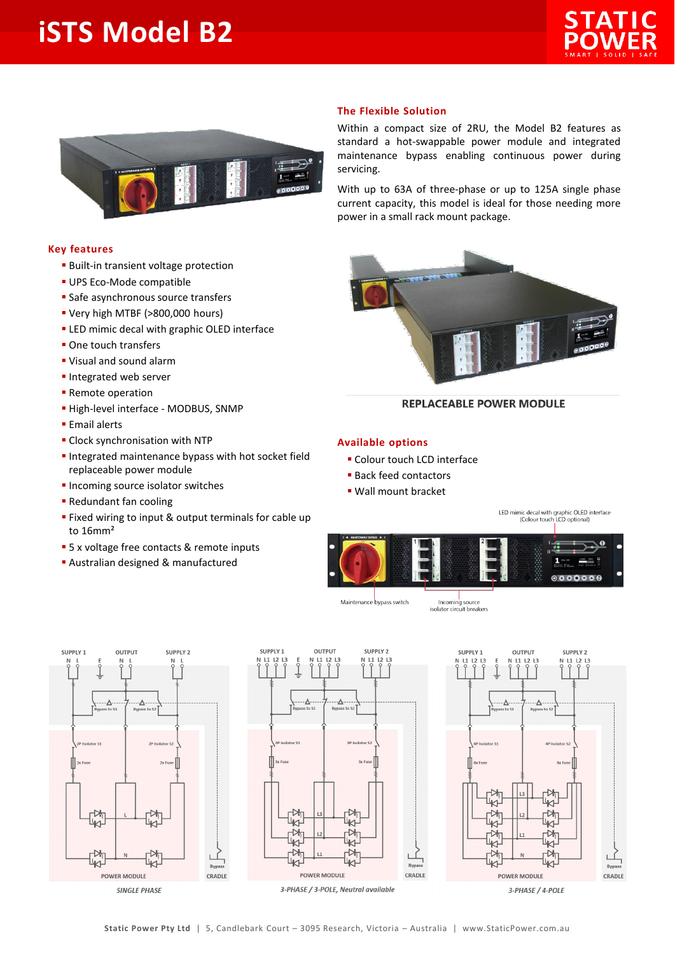## **iSTS Model B2**





## **Key features**

- **· Built-in transient voltage protection**
- **UPS Eco-Mode compatible**
- **E** Safe asynchronous source transfers
- Very high MTBF (>800,000 hours)
- **.** LED mimic decal with graphic OLED interface
- One touch transfers
- Visual and sound alarm
- **· Integrated web server**
- **E** Remote operation
- **· High-level interface MODBUS, SNMP**
- **Email alerts**
- **E** Clock synchronisation with NTP
- **.** Integrated maintenance bypass with hot socket field replaceable power module
- **· Incoming source isolator switches**
- **Redundant fan cooling**
- Fixed wiring to input & output terminals for cable up to 16mm²
- 5 x voltage free contacts & remote inputs
- **E** Australian designed & manufactured



Within a compact size of 2RU, the Model B2 features as standard a hot-swappable power module and integrated maintenance bypass enabling continuous power during servicing.

With up to 63A of three-phase or up to 125A single phase current capacity, this model is ideal for those needing more power in a small rack mount package.



## **REPLACEABLE POWER MODULE**

## **Available options**

- **· Colour touch LCD interface**
- Back feed contactors
- Wall mount bracket

LED mimic decal with graphic OLED interface<br>(Colour touch LCD optional)



Maintenance bypass switch

Incoming source<br>isolator circuit breakers







3-PHASE / 4-POLE